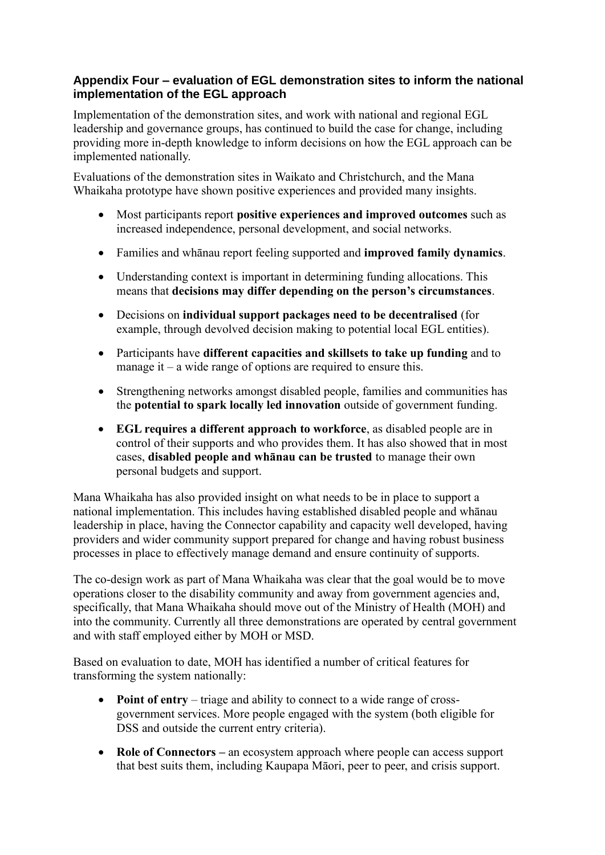## **Appendix Four – evaluation of EGL demonstration sites to inform the national implementation of the EGL approach**

Implementation of the demonstration sites, and work with national and regional EGL leadership and governance groups, has continued to build the case for change, including providing more in-depth knowledge to inform decisions on how the EGL approach can be implemented nationally.

Evaluations of the demonstration sites in Waikato and Christchurch, and the Mana Whaikaha prototype have shown positive experiences and provided many insights.

- Most participants report **positive experiences and improved outcomes** such as increased independence, personal development, and social networks.
- Families and whānau report feeling supported and **improved family dynamics**.
- Understanding context is important in determining funding allocations. This means that **decisions may differ depending on the person's circumstances**.
- Decisions on **individual support packages need to be decentralised** (for example, through devolved decision making to potential local EGL entities).
- Participants have **different capacities and skillsets to take up funding** and to manage it – a wide range of options are required to ensure this.
- Strengthening networks amongst disabled people, families and communities has the **potential to spark locally led innovation** outside of government funding.
- **EGL requires a different approach to workforce**, as disabled people are in control of their supports and who provides them. It has also showed that in most cases, **disabled people and whānau can be trusted** to manage their own personal budgets and support.

Mana Whaikaha has also provided insight on what needs to be in place to support a national implementation. This includes having established disabled people and whānau leadership in place, having the Connector capability and capacity well developed, having providers and wider community support prepared for change and having robust business processes in place to effectively manage demand and ensure continuity of supports.

The co-design work as part of Mana Whaikaha was clear that the goal would be to move operations closer to the disability community and away from government agencies and, specifically, that Mana Whaikaha should move out of the Ministry of Health (MOH) and into the community. Currently all three demonstrations are operated by central government and with staff employed either by MOH or MSD.

Based on evaluation to date, MOH has identified a number of critical features for transforming the system nationally:

- **Point of entry** triage and ability to connect to a wide range of crossgovernment services. More people engaged with the system (both eligible for DSS and outside the current entry criteria).
- **Role of Connectors –** an ecosystem approach where people can access support that best suits them, including Kaupapa Māori, peer to peer, and crisis support.